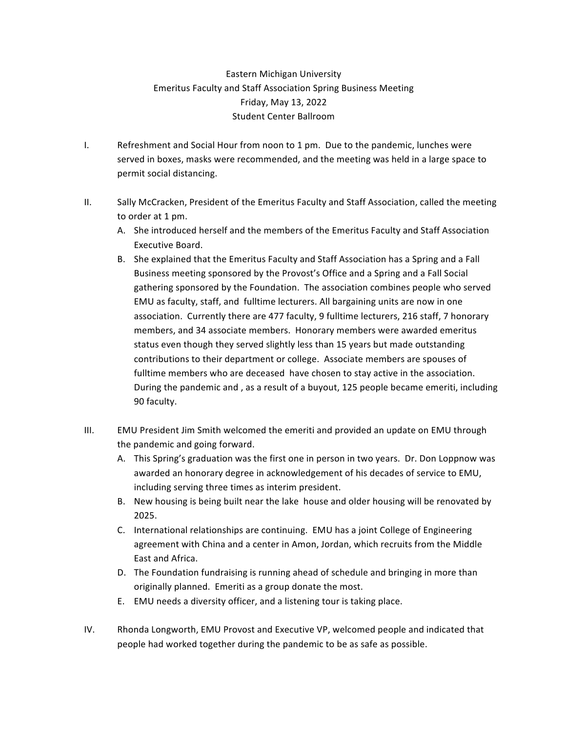## Eastern Michigan University Emeritus Faculty and Staff Association Spring Business Meeting Friday, May 13, 2022 Student Center Ballroom

- I. Refreshment and Social Hour from noon to 1 pm. Due to the pandemic, lunches were served in boxes, masks were recommended, and the meeting was held in a large space to permit social distancing.
- II. Sally McCracken, President of the Emeritus Faculty and Staff Association, called the meeting to order at 1 pm.
	- A. She introduced herself and the members of the Emeritus Faculty and Staff Association Executive Board.
	- B. She explained that the Emeritus Faculty and Staff Association has a Spring and a Fall Business meeting sponsored by the Provost's Office and a Spring and a Fall Social gathering sponsored by the Foundation. The association combines people who served EMU as faculty, staff, and fulltime lecturers. All bargaining units are now in one association. Currently there are 477 faculty, 9 fulltime lecturers, 216 staff, 7 honorary members, and 34 associate members. Honorary members were awarded emeritus status even though they served slightly less than 15 years but made outstanding contributions to their department or college. Associate members are spouses of fulltime members who are deceased have chosen to stay active in the association. During the pandemic and, as a result of a buyout, 125 people became emeriti, including 90 faculty.
- III. EMU President Jim Smith welcomed the emeriti and provided an update on EMU through the pandemic and going forward.
	- A. This Spring's graduation was the first one in person in two years. Dr. Don Loppnow was awarded an honorary degree in acknowledgement of his decades of service to EMU, including serving three times as interim president.
	- B. New housing is being built near the lake house and older housing will be renovated by 2025.
	- C. International relationships are continuing. EMU has a joint College of Engineering agreement with China and a center in Amon, Jordan, which recruits from the Middle East and Africa.
	- D. The Foundation fundraising is running ahead of schedule and bringing in more than originally planned. Emeriti as a group donate the most.
	- E. EMU needs a diversity officer, and a listening tour is taking place.
- IV. Rhonda Longworth, EMU Provost and Executive VP, welcomed people and indicated that people had worked together during the pandemic to be as safe as possible.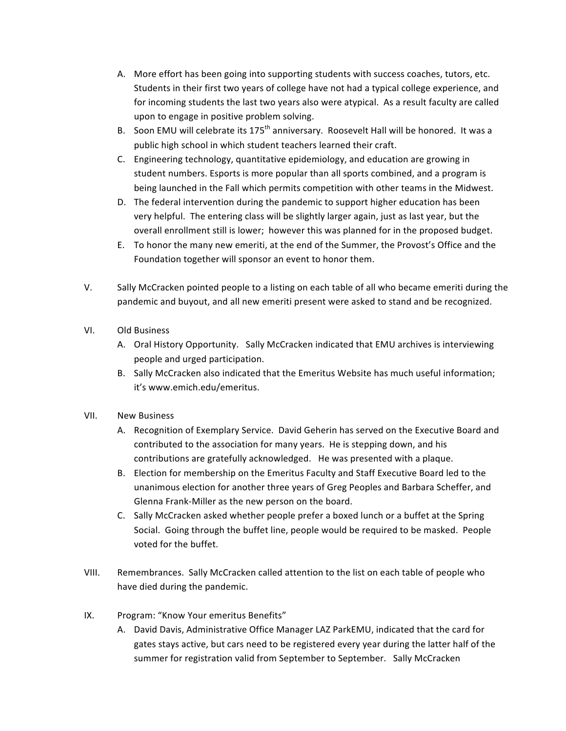- A. More effort has been going into supporting students with success coaches, tutors, etc. Students in their first two years of college have not had a typical college experience, and for incoming students the last two years also were atypical. As a result faculty are called upon to engage in positive problem solving.
- B. Soon EMU will celebrate its 175<sup>th</sup> anniversary. Roosevelt Hall will be honored. It was a public high school in which student teachers learned their craft.
- C. Engineering technology, quantitative epidemiology, and education are growing in student numbers. Esports is more popular than all sports combined, and a program is being launched in the Fall which permits competition with other teams in the Midwest.
- D. The federal intervention during the pandemic to support higher education has been very helpful. The entering class will be slightly larger again, just as last year, but the overall enrollment still is lower; however this was planned for in the proposed budget.
- E. To honor the many new emeriti, at the end of the Summer, the Provost's Office and the Foundation together will sponsor an event to honor them.
- V. Sally McCracken pointed people to a listing on each table of all who became emeriti during the pandemic and buyout, and all new emeriti present were asked to stand and be recognized.
- VI. Old Business
	- A. Oral History Opportunity. Sally McCracken indicated that EMU archives is interviewing people and urged participation.
	- B. Sally McCracken also indicated that the Emeritus Website has much useful information; it's www.emich.edu/emeritus.
- VII. New Business
	- A. Recognition of Exemplary Service. David Geherin has served on the Executive Board and contributed to the association for many years. He is stepping down, and his contributions are gratefully acknowledged. He was presented with a plaque.
	- B. Election for membership on the Emeritus Faculty and Staff Executive Board led to the unanimous election for another three years of Greg Peoples and Barbara Scheffer, and Glenna Frank-Miller as the new person on the board.
	- C. Sally McCracken asked whether people prefer a boxed lunch or a buffet at the Spring Social. Going through the buffet line, people would be required to be masked. People voted for the buffet.
- VIII. Remembrances. Sally McCracken called attention to the list on each table of people who have died during the pandemic.
- IX. Program: "Know Your emeritus Benefits"
	- A. David Davis, Administrative Office Manager LAZ ParkEMU, indicated that the card for gates stays active, but cars need to be registered every year during the latter half of the summer for registration valid from September to September. Sally McCracken